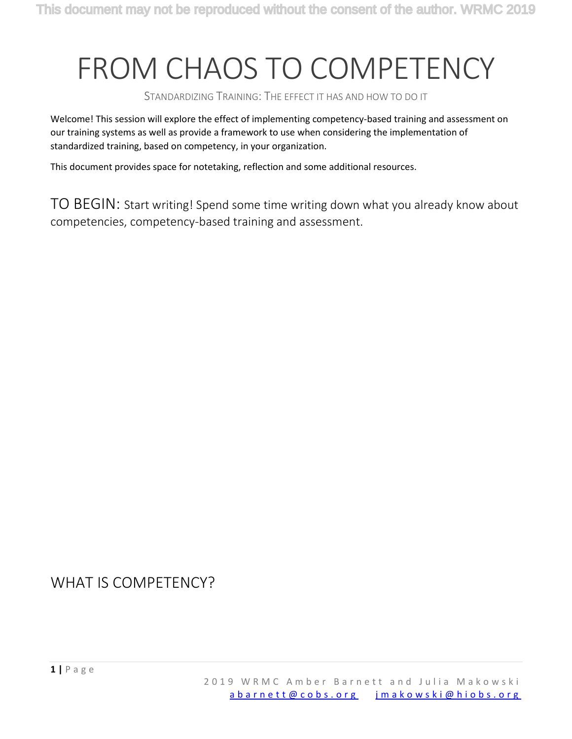## FROM CHAOS TO COMPETENCY

STANDARDIZING TRAINING: THE EFFECT IT HAS AND HOW TO DO IT

Welcome! This session will explore the effect of implementing competency-based training and assessment on our training systems as well as provide a framework to use when considering the implementation of standardized training, based on competency, in your organization.

This document provides space for notetaking, reflection and some additional resources.

TO BEGIN: Start writing! Spend some time writing down what you already know about competencies, competency-based training and assessment.

WHAT IS COMPETENCY?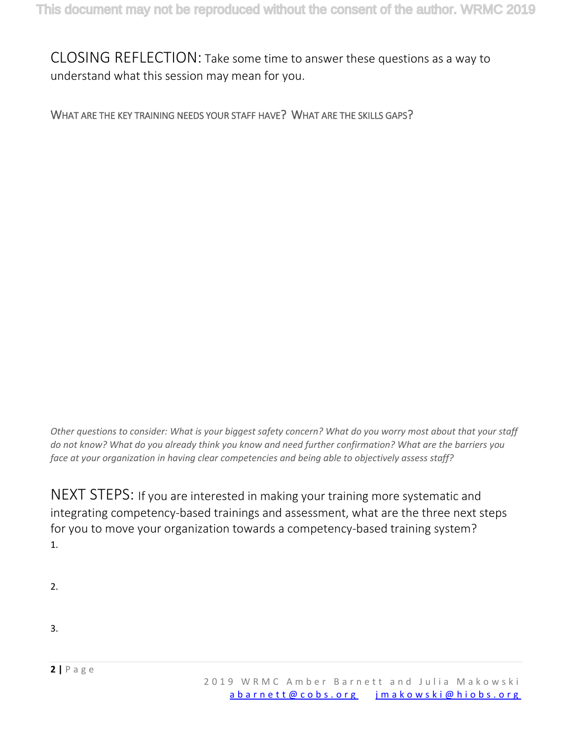CLOSING REFLECTION: Take some time to answer these questions as a way to understand what this session may mean for you.

WHAT ARE THE KEY TRAINING NEEDS YOUR STAFF HAVE? WHAT ARE THE SKILLS GAPS?

*Other questions to consider: What is your biggest safety concern? What do you worry most about that your staff do not know? What do you already think you know and need further confirmation? What are the barriers you face at your organization in having clear competencies and being able to objectively assess staff?*

NEXT STEPS: If you are interested in making your training more systematic and integrating competency-based trainings and assessment, what are the three next steps for you to move your organization towards a competency-based training system? 1.

2.

3.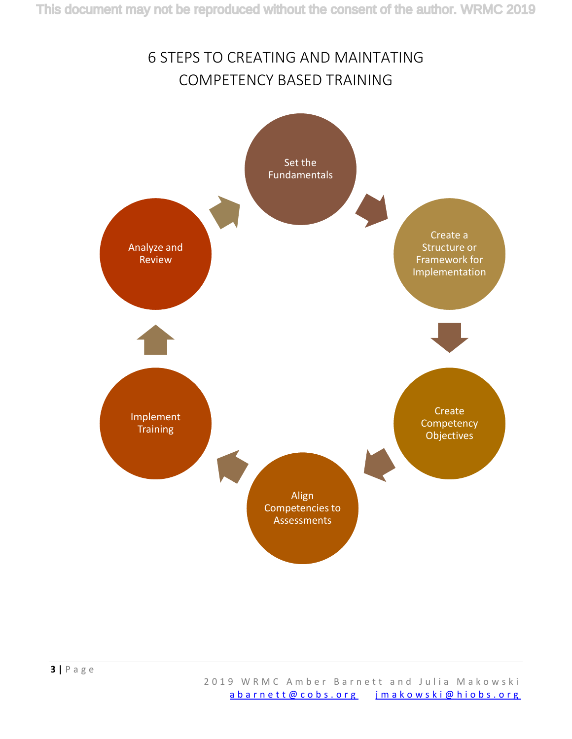## 6 STEPS TO CREATING AND MAINTATING COMPETENCY BASED TRAINING

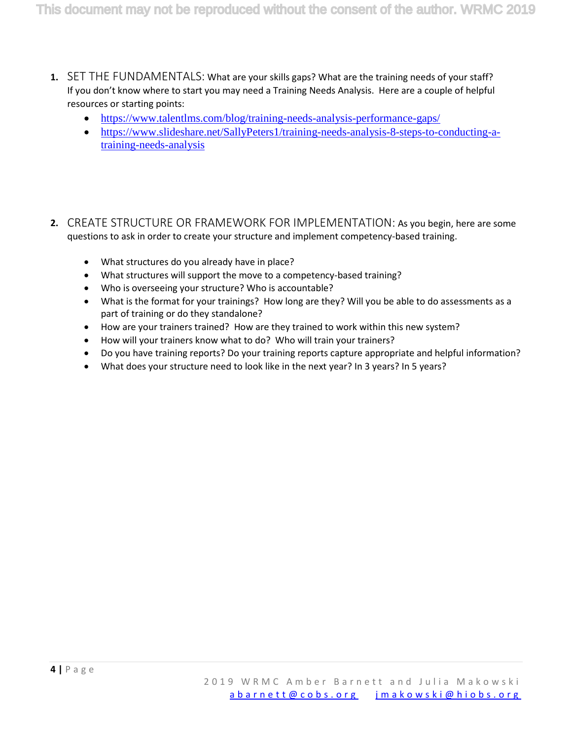- **1.** SET THE FUNDAMENTALS: What are your skills gaps? What are the training needs of your staff? If you don't know where to start you may need a Training Needs Analysis. Here are a couple of helpful resources or starting points:
	- <https://www.talentlms.com/blog/training-needs-analysis-performance-gaps/>
	- [https://www.slideshare.net/SallyPeters1/training-needs-analysis-8-steps-to-conducting-a](https://www.slideshare.net/SallyPeters1/training-needs-analysis-8-steps-to-conducting-a-training-needs-analysis)[training-needs-analysis](https://www.slideshare.net/SallyPeters1/training-needs-analysis-8-steps-to-conducting-a-training-needs-analysis)
- **2.** CREATE STRUCTURE OR FRAMEWORK FOR IMPLEMENTATION: As you begin, here are some questions to ask in order to create your structure and implement competency-based training.
	- What structures do you already have in place?
	- What structures will support the move to a competency-based training?
	- Who is overseeing your structure? Who is accountable?
	- What is the format for your trainings? How long are they? Will you be able to do assessments as a part of training or do they standalone?
	- How are your trainers trained? How are they trained to work within this new system?
	- How will your trainers know what to do? Who will train your trainers?
	- Do you have training reports? Do your training reports capture appropriate and helpful information?
	- What does your structure need to look like in the next year? In 3 years? In 5 years?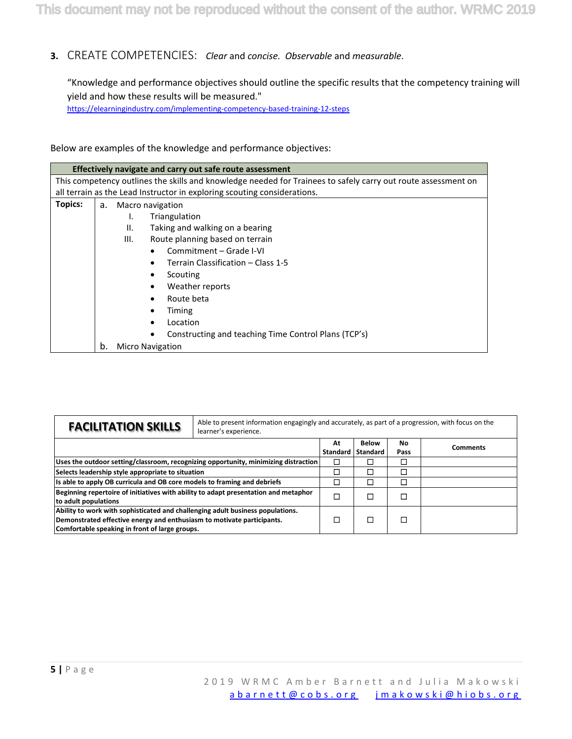## **3.** CREATE COMPETENCIES:*Clear* and *concise. Observable* and *measurable*.

"Knowledge and performance objectives should outline the specific results that the competency training will yield and how these results will be measured." <https://elearningindustry.com/implementing-competency-based-training-12-steps>

Below are examples of the knowledge and performance objectives:

|         |                                       | Effectively navigate and carry out safe route assessment                                                      |  |  |  |  |
|---------|---------------------------------------|---------------------------------------------------------------------------------------------------------------|--|--|--|--|
|         |                                       | This competency outlines the skills and knowledge needed for Trainees to safely carry out route assessment on |  |  |  |  |
|         |                                       | all terrain as the Lead Instructor in exploring scouting considerations.                                      |  |  |  |  |
| Topics: | Macro navigation<br>а.                |                                                                                                               |  |  |  |  |
|         | Triangulation<br>ı.                   |                                                                                                               |  |  |  |  |
|         | Ш.<br>Taking and walking on a bearing |                                                                                                               |  |  |  |  |
|         | Ш.<br>Route planning based on terrain |                                                                                                               |  |  |  |  |
|         |                                       | Commitment - Grade I-VI<br>$\bullet$                                                                          |  |  |  |  |
|         |                                       | Terrain Classification - Class 1-5                                                                            |  |  |  |  |
|         |                                       | Scouting<br>٠                                                                                                 |  |  |  |  |
|         |                                       | Weather reports<br>$\bullet$                                                                                  |  |  |  |  |
|         |                                       | Route beta<br>٠                                                                                               |  |  |  |  |
|         |                                       | Timing                                                                                                        |  |  |  |  |
|         |                                       | Location                                                                                                      |  |  |  |  |
|         |                                       | Constructing and teaching Time Control Plans (TCP's)                                                          |  |  |  |  |
|         | b.                                    | <b>Micro Navigation</b>                                                                                       |  |  |  |  |

| <b>FACILITATION SKILLS</b><br>learner's experience.                                                                                                                                                        |        | Able to present information engagingly and accurately, as part of a progression, with focus on the |                                 |            |                 |
|------------------------------------------------------------------------------------------------------------------------------------------------------------------------------------------------------------|--------|----------------------------------------------------------------------------------------------------|---------------------------------|------------|-----------------|
|                                                                                                                                                                                                            |        | At<br>Standard                                                                                     | <b>Below</b><br><b>Standard</b> | No<br>Pass | <b>Comments</b> |
| Uses the outdoor setting/classroom, recognizing opportunity, minimizing distraction                                                                                                                        |        |                                                                                                    |                                 |            |                 |
| Selects leadership style appropriate to situation                                                                                                                                                          | $\Box$ |                                                                                                    |                                 |            |                 |
| Its able to apply OB curricula and OB core models to framing and debriefs                                                                                                                                  | ⊐      |                                                                                                    |                                 |            |                 |
| Beginning repertoire of initiatives with ability to adapt presentation and metaphor<br>to adult populations                                                                                                | Ī.     |                                                                                                    |                                 |            |                 |
| Ability to work with sophisticated and challenging adult business populations.<br>Demonstrated effective energy and enthusiasm to motivate participants.<br>Comfortable speaking in front of large groups. |        |                                                                                                    |                                 |            |                 |